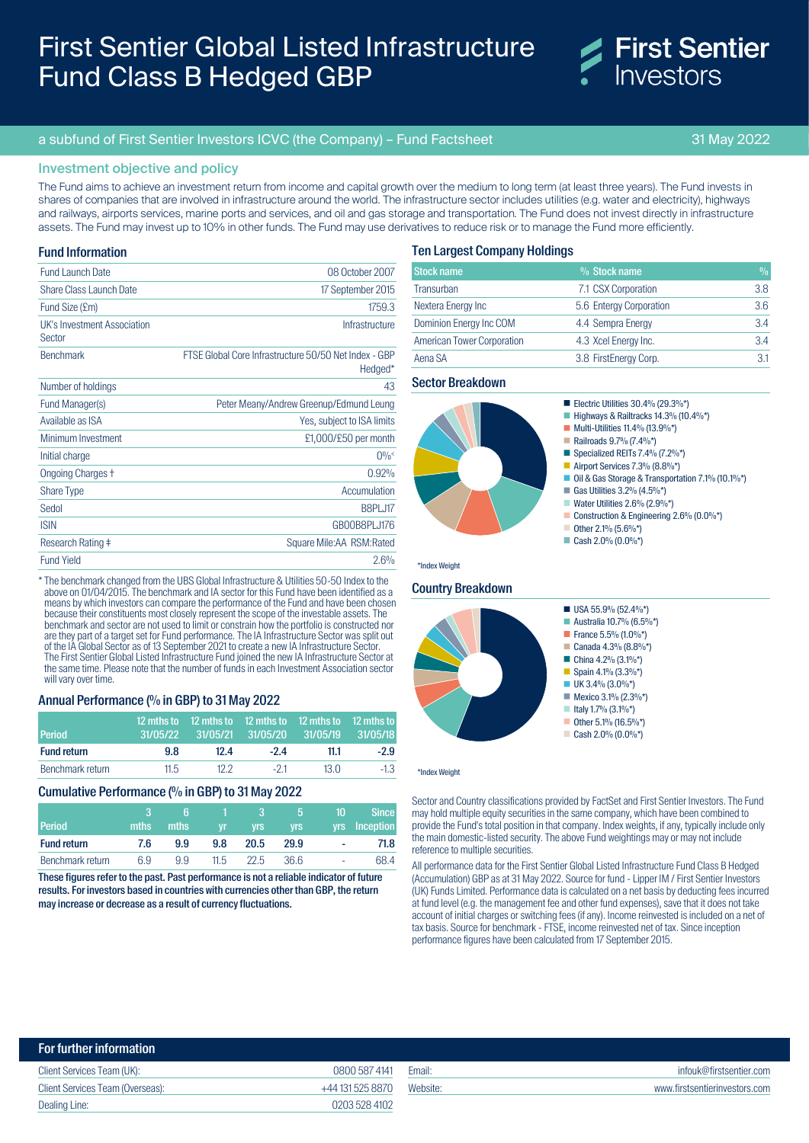# First Sentier Global Listed Infrastructure Fund Class B Hedged GBP



# a subfund of First Sentier Investors ICVC (the Company) – Fund Factsheet 31 May 2022

# Investment objective and policy

The Fund aims to achieve an investment return from income and capital growth over the medium to long term (at least three years). The Fund invests in shares of companies that are involved in infrastructure around the world. The infrastructure sector includes utilities (e.g. water and electricity), highways and railways, airports services, marine ports and services, and oil and gas storage and transportation. The Fund does not invest directly in infrastructure assets. The Fund may invest up to 10% in other funds. The Fund may use derivatives to reduce risk or to manage the Fund more efficiently.

## Fund Information

| <b>Fund Launch Date</b>               | 08 October 2007                                                  |
|---------------------------------------|------------------------------------------------------------------|
| Share Class Launch Date               | 17 September 2015                                                |
| Fund Size (£m)                        | 1759.3                                                           |
| UK's Investment Association<br>Sector | Infrastructure                                                   |
| <b>Benchmark</b>                      | FTSE Global Core Infrastructure 50/50 Net Index - GBP<br>Hedged* |
| Number of holdings                    | 43                                                               |
| Fund Manager(s)                       | Peter Meany/Andrew Greenup/Edmund Leung                          |
| Available as ISA                      | Yes, subject to ISA limits                                       |
| Minimum Investment                    | £1,000/£50 per month                                             |
| Initial charge                        | $0\%^<$                                                          |
| <b>Ongoing Charges +</b>              | 0.92%                                                            |
| <b>Share Type</b>                     | Accumulation                                                     |
| Sedol                                 | B8PLJ17                                                          |
| <b>ISIN</b>                           | GB00B8PLJ176                                                     |
| Research Rating ‡                     | Square Mile:AA RSM:Rated                                         |
| <b>Fund Yield</b>                     | 2.6%                                                             |
|                                       |                                                                  |

\* The benchmark changed from the UBS Global Infrastructure & Utilities 50-50 Index to the above on 01/04/2015. The benchmark and IA sector for this Fund have been identified as a means by which investors can compare the performance of the Fund and have been chosen because their constituents most closely represent the scope of the investable assets. The benchmark and sector are not used to limit or constrain how the portfolio is constructed nor are they part of a target set for Fund performance. The IA Infrastructure Sector was split out of the IA Global Sector as of 13 September 2021 to create a new IA Infrastructure Sector. The First Sentier Global Listed Infrastructure Fund joined the new IA Infrastructure Sector at the same time. Please note that the number of funds in each Investment Association sector will vary over time.

#### Annual Performance (% in GBP) to 31 May 2022

| <b>Period</b>      |      | 12 mths to 12 mths to 12 mths to 12 mths to 12 mths to<br>31/05/22 31/05/21 31/05/20 31/05/19 31/05/18 |       |      |        |
|--------------------|------|--------------------------------------------------------------------------------------------------------|-------|------|--------|
| <b>Fund return</b> | 9.8  | 12.4                                                                                                   | $-24$ | 11.1 | $-2.9$ |
| Benchmark return   | 11.5 | 12.2                                                                                                   | $-21$ | 13 O | -1.3   |

### Cumulative Performance (% in GBP) to 31 May 2022

| <b>Period</b>      | mths | ю<br>mths | vr   | з<br>Vrs. | h<br><b>Vrs</b> | 10 | <b>Since</b><br>yrs Inception |
|--------------------|------|-----------|------|-----------|-----------------|----|-------------------------------|
| <b>Fund return</b> | 7.6  | 9.9       | 9.8  | 20.5      | 29.9            | ۰  | 71.8                          |
| Benchmark return   | 6.9  | 9.9       | 11.5 | 22.5      | 36.6            | ۰  | 68.4                          |

These figures refer to the past. Past performance is not a reliable indicator of future results. For investors based in countries with currencies other than GBP, the return may increase or decrease as a result of currency fluctuations.

# Ten Largest Company Holdings

| <b>Stock name</b>                 | % Stock name            | $\frac{0}{0}$ |
|-----------------------------------|-------------------------|---------------|
| Transurban                        | 7.1 CSX Corporation     | 3.8           |
| Nextera Energy Inc                | 5.6 Entergy Corporation | 3.6           |
| Dominion Energy Inc COM           | 4.4 Sempra Energy       | 3.4           |
| <b>American Tower Corporation</b> | 4.3 Xcel Energy Inc.    | 3.4           |
| Aena SA                           | 3.8 FirstEnergy Corp.   | 3.1           |

# Sector Breakdown



#### Country Breakdown

\*Index Weight



#### \*Index Weight

Sector and Country classifications provided by FactSet and First Sentier Investors. The Fund may hold multiple equity securities in the same company, which have been combined to provide the Fund's total position in that company. Index weights, if any, typically include only the main domestic-listed security. The above Fund weightings may or may not include reference to multiple securities.

All performance data for the First Sentier Global Listed Infrastructure Fund Class B Hedged (Accumulation) GBP as at 31 May 2022. Source for fund - Lipper IM / First Sentier Investors (UK) Funds Limited. Performance data is calculated on a net basis by deducting fees incurred at fund level (e.g. the management fee and other fund expenses), save that it does not take account of initial charges or switching fees (if any). Income reinvested is included on a net of tax basis. Source for benchmark - FTSE, income reinvested net of tax. Since inception performance figures have been calculated from 17 September 2015.

| For further information          |                  |          |                               |
|----------------------------------|------------------|----------|-------------------------------|
| Client Services Team (UK):       | 0800 587 4141    | Email:   | infouk@firstsentier.com       |
| Client Services Team (Overseas): | +44 131 525 8870 | Website: | www.firstsentierinvestors.com |
| Dealing Line:                    | 0203 528 4102    |          |                               |